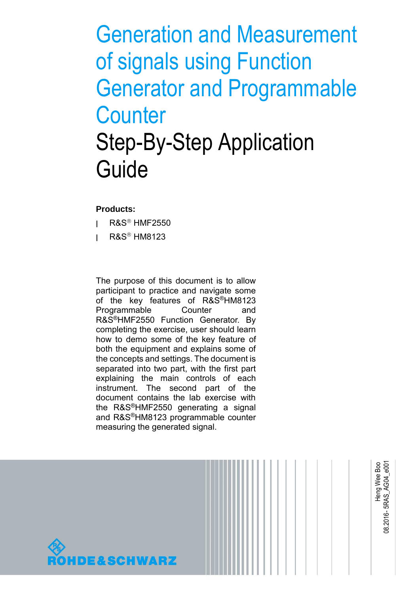# Generation and Measurement of signals using Function Generator and Programmable **Counter** Step-By-Step Application Guide

### **Products:**

- **|** R&S HMF2550
- **|** R&S HM8123

The purpose of this document is to allow participant to practice and navigate some of the key features of R&S®HM8123 Programmable Counter and R&S®HMF2550 Function Generator. By completing the exercise, user should learn how to demo some of the key feature of both the equipment and explains some of the concepts and settings. The document is separated into two part, with the first part explaining the main controls of each instrument. The second part of the document contains the lab exercise with the R&S®HMF2550 generating a signal and R&S®HM8123 programmable counter measuring the generated signal.

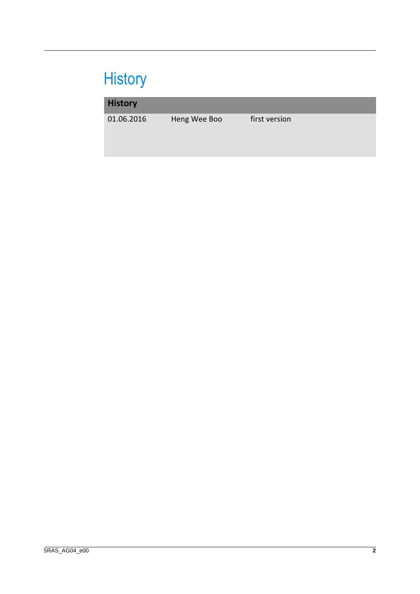## **History**

### **History**

01.06.2016 Heng Wee Boo first version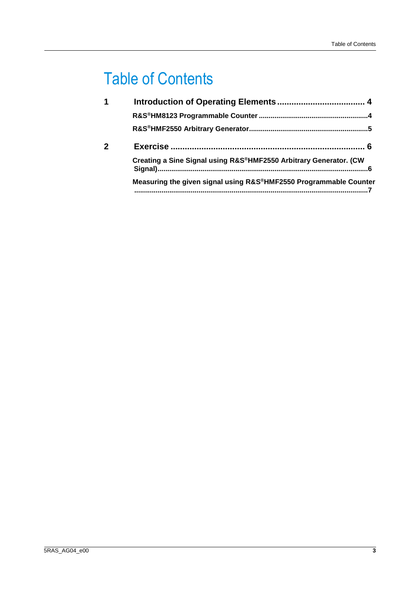## Table of Contents

| 1 |                                                                   |
|---|-------------------------------------------------------------------|
|   |                                                                   |
|   |                                                                   |
|   |                                                                   |
|   | Creating a Sine Signal using R&S®HMF2550 Arbitrary Generator. (CW |
|   | Measuring the given signal using R&S®HMF2550 Programmable Counter |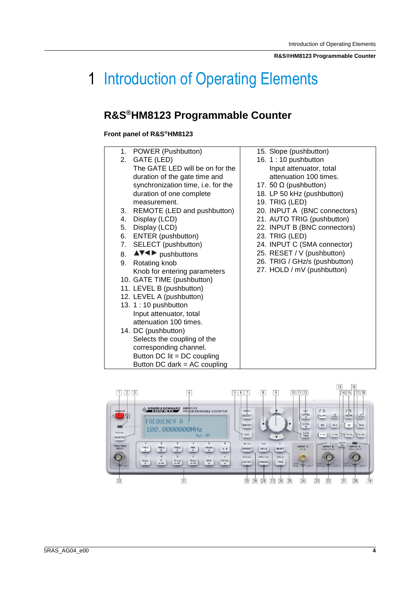## <span id="page-3-0"></span>1 Introduction of Operating Elements

## <span id="page-3-1"></span>**R&S®HM8123 Programmable Counter**

### **Front panel of R&S®HM8123**

| 1. | POWER (Pushbutton)                      | 15. Slope (pushbutton)        |  |
|----|-----------------------------------------|-------------------------------|--|
| 2. | GATE (LED)                              | 16. 1:10 pushbutton           |  |
|    | The GATE LED will be on for the         | Input attenuator, total       |  |
|    | duration of the gate time and           | attenuation 100 times.        |  |
|    | synchronization time, i.e. for the      | 17. 50 $\Omega$ (pushbutton)  |  |
|    | duration of one complete                | 18. LP 50 kHz (pushbutton)    |  |
|    | measurement.                            | 19. TRIG (LED)                |  |
| 3. | REMOTE (LED and pushbutton)             | 20. INPUT A (BNC connectors)  |  |
| 4. | Display (LCD)                           | 21. AUTO TRIG (pushbutton)    |  |
| 5. | Display (LCD)                           | 22. INPUT B (BNC connectors)  |  |
| 6. | ENTER (pushbutton)                      | 23. TRIG (LED)                |  |
| 7. | SELECT (pushbutton)                     | 24. INPUT C (SMA connector)   |  |
| 8. | $\triangle V \triangleleft$ pushbuttons | 25. RESET / V (pushbutton)    |  |
| 9. | Rotating knob                           | 26. TRIG / GHz/s (pushbutton) |  |
|    | Knob for entering parameters            | 27. HOLD / mV (pushbutton)    |  |
|    | 10. GATE TIME (pushbutton)              |                               |  |
|    | 11. LEVEL B (pushbutton)                |                               |  |
|    | 12. LEVEL A (pushbutton)                |                               |  |
|    | 13. 1:10 pushbutton                     |                               |  |
|    | Input attenuator, total                 |                               |  |
|    | attenuation 100 times.                  |                               |  |
|    | 14. DC (pushbutton)                     |                               |  |
|    | Selects the coupling of the             |                               |  |
|    | corresponding channel.                  |                               |  |
|    | Button DC $lit = DC$ coupling           |                               |  |
|    | Button DC dark = $AC$ coupling          |                               |  |

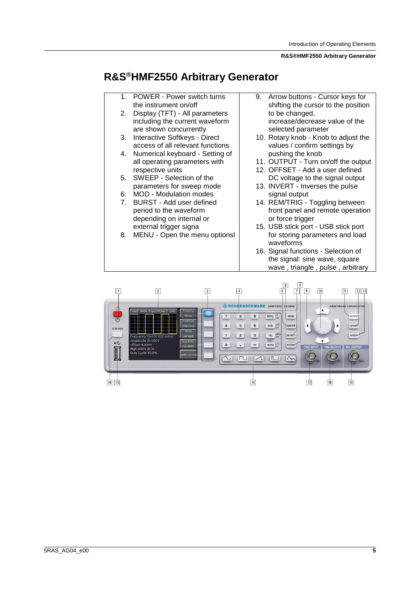#### **R&S®HMF2550 Arbitrary Generator**

### <span id="page-4-0"></span>**R&S®HMF2550 Arbitrary Generator**

- 1. POWER Power switch turns the instrument on/off
- 2. Display (TFT) All parameters including the current waveform are shown concurrently
- 3. Interactive Softkeys Direct access of all relevant functions
- 4. Numerical keyboard Setting of all operating parameters with respective units
- 5. SWEEP Selection of the parameters for sweep mode
- 6. MOD Modulation modes
- 7. BURST Add user defined period to the waveform depending on internal or external trigger signa
- 8. MENU Open the menu optionsl
- 9. Arrow buttons Cursor keys for shifting the cursor to the position to be changed, increase/decrease value of the selected parameter
- 10. Rotary knob Knob to adjust the values / confirm settings by pushing the knob
- 11. OUTPUT Turn on/off the output
- 12. OFFSET Add a user defined DC voltage to the signal output
- 13. INVERT Inverses the pulse signal output
- 14. REM/TRIG Toggling between front panel and remote operation or force trigger
- 15. USB stick port USB stick port for storing parameters and load waveforms
- 16. Signal functions Selection of the signal: sine wave, square wave , triangle , pulse , arbitrary

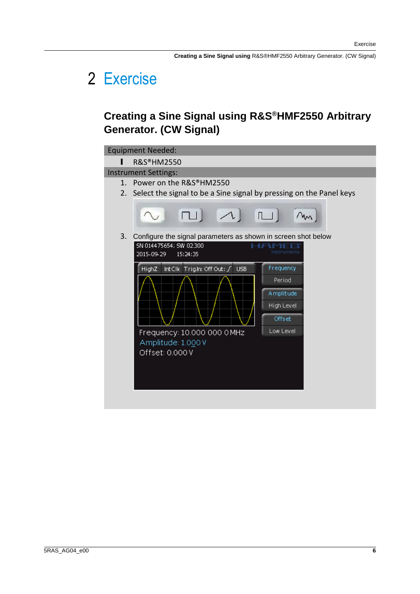**Creating a Sine Signal using** R&S®HMF2550 Arbitrary Generator. (CW Signal)

## <span id="page-5-0"></span>2 Exercise

### <span id="page-5-1"></span>**Creating a Sine Signal using R&S®HMF2550 Arbitrary Generator. (CW Signal)**

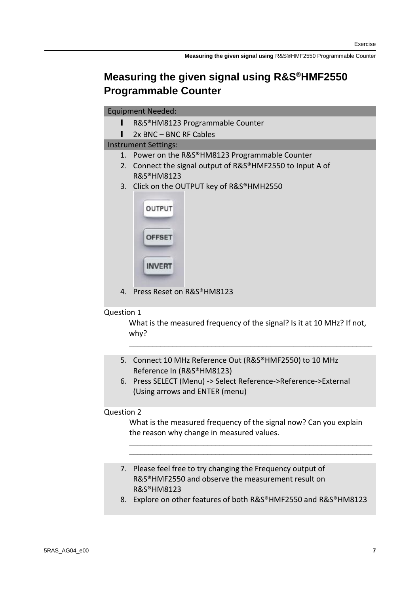### <span id="page-6-0"></span>**Measuring the given signal using R&S®HMF2550 Programmable Counter**

| <b>Equipment Needed:</b> |  |
|--------------------------|--|
|--------------------------|--|

- l R&S®HM8123 Programmable Counter
- l 2x BNC BNC RF Cables

Instrument Settings:

- 1. Power on the R&S®HM8123 Programmable Counter
- 2. Connect the signal output of R&S®HMF2550 to Input A of R&S®HM8123
- 3. Click on the OUTPUT key of R&S®HMH2550

| <b>OUTPUT</b> |
|---------------|
| <b>OFFSET</b> |
| <b>INVERT</b> |

4. Press Reset on R&S®HM8123

### Question 1

What is the measured frequency of the signal? Is it at 10 MHz? If not, why?

\_\_\_\_\_\_\_\_\_\_\_\_\_\_\_\_\_\_\_\_\_\_\_\_\_\_\_\_\_\_\_\_\_\_\_\_\_\_\_\_\_\_\_\_\_\_\_\_\_\_\_\_\_\_\_\_\_\_\_\_\_\_

- 5. Connect 10 MHz Reference Out (R&S®HMF2550) to 10 MHz Reference In (R&S®HM8123)
- 6. Press SELECT (Menu) -> Select Reference->Reference->External (Using arrows and ENTER (menu)

### Question 2

What is the measured frequency of the signal now? Can you explain the reason why change in measured values.

\_\_\_\_\_\_\_\_\_\_\_\_\_\_\_\_\_\_\_\_\_\_\_\_\_\_\_\_\_\_\_\_\_\_\_\_\_\_\_\_\_\_\_\_\_\_\_\_\_\_\_\_\_\_\_\_\_\_\_\_\_\_ \_\_\_\_\_\_\_\_\_\_\_\_\_\_\_\_\_\_\_\_\_\_\_\_\_\_\_\_\_\_\_\_\_\_\_\_\_\_\_\_\_\_\_\_\_\_\_\_\_\_\_\_\_\_\_\_\_\_\_\_\_\_

- 7. Please feel free to try changing the Frequency output of R&S®HMF2550 and observe the measurement result on R&S®HM8123
- 8. Explore on other features of both R&S®HMF2550 and R&S®HM8123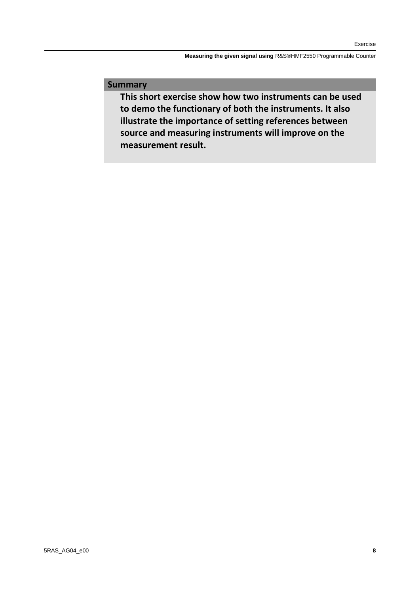**Measuring the given signal using** R&S®HMF2550 Programmable Counter

### **Summary**

**This short exercise show how two instruments can be used to demo the functionary of both the instruments. It also illustrate the importance of setting references between source and measuring instruments will improve on the measurement result.**